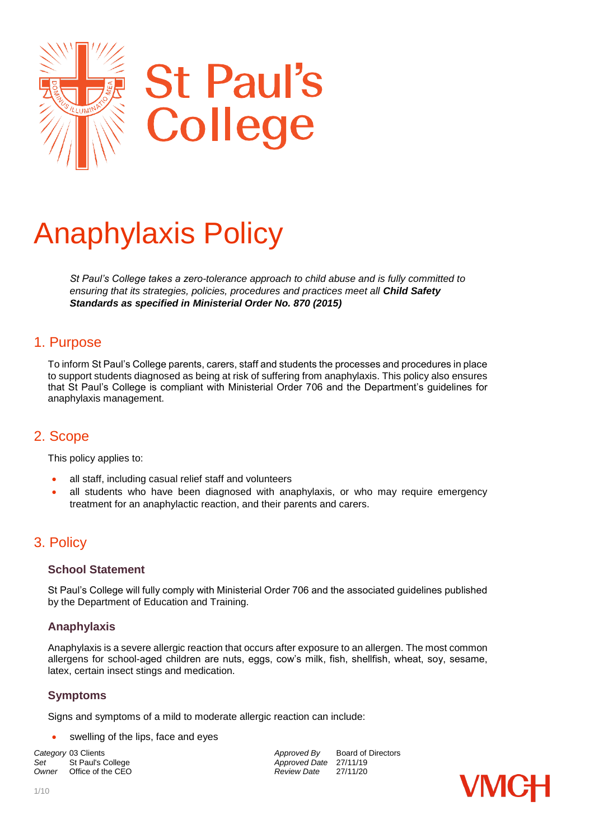

# Anaphylaxis Policy

*St Paul's College takes a zero-tolerance approach to child abuse and is fully committed to ensuring that its strategies, policies, procedures and practices meet all Child Safety Standards as specified in Ministerial Order No. 870 (2015)* 

### 1. Purpose

To inform St Paul's College parents, carers, staff and students the processes and procedures in place to support students diagnosed as being at risk of suffering from anaphylaxis. This policy also ensures that St Paul's College is compliant with Ministerial Order 706 and the Department's guidelines for anaphylaxis management.

# 2. Scope

This policy applies to:

- all staff, including casual relief staff and volunteers
- all students who have been diagnosed with anaphylaxis, or who may require emergency treatment for an anaphylactic reaction, and their parents and carers.

# 3. Policy

#### **School Statement**

St Paul's College will fully comply with Ministerial Order 706 and the associated guidelines published by the Department of Education and Training.

#### **Anaphylaxis**

Anaphylaxis is a severe allergic reaction that occurs after exposure to an allergen. The most common allergens for school-aged children are nuts, eggs, cow's milk, fish, shellfish, wheat, soy, sesame, latex, certain insect stings and medication.

#### **Symptoms**

Signs and symptoms of a mild to moderate allergic reaction can include:

swelling of the lips, face and eyes

**Set** St Paul's College **Approved Date** 27/11/19<br>
Owner Office of the CEO **Approved Date** 27/11/20 *Office of the CEO* 

*Category* 03 Clients *Approved By* Board of Directors

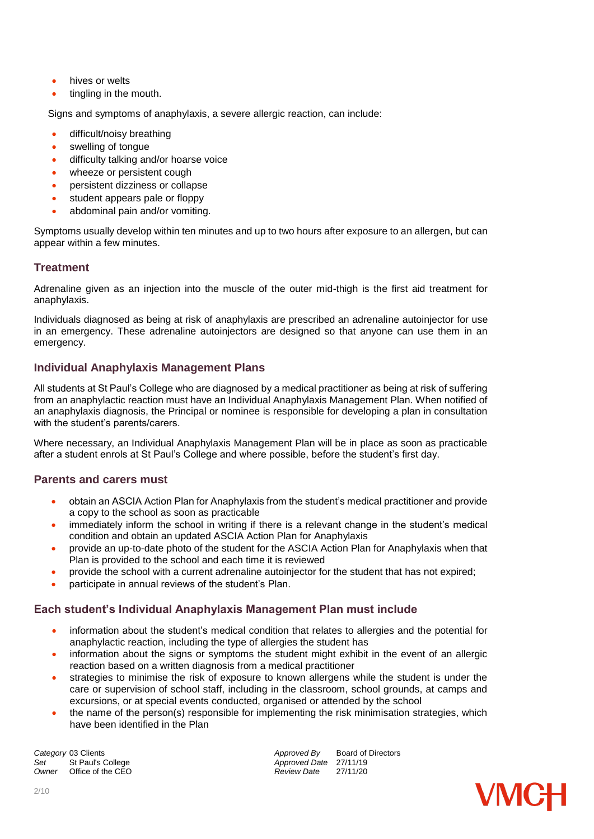- hives or welts
- tingling in the mouth.

Signs and symptoms of anaphylaxis, a severe allergic reaction, can include:

- difficult/noisy breathing
- swelling of tongue
- difficulty talking and/or hoarse voice
- wheeze or persistent cough
- persistent dizziness or collapse
- student appears pale or floppy
- abdominal pain and/or vomiting.

Symptoms usually develop within ten minutes and up to two hours after exposure to an allergen, but can appear within a few minutes.

#### **Treatment**

Adrenaline given as an injection into the muscle of the outer mid-thigh is the first aid treatment for anaphylaxis.

Individuals diagnosed as being at risk of anaphylaxis are prescribed an adrenaline autoinjector for use in an emergency. These adrenaline autoinjectors are designed so that anyone can use them in an emergency.

#### **Individual Anaphylaxis Management Plans**

All students at St Paul's College who are diagnosed by a medical practitioner as being at risk of suffering from an anaphylactic reaction must have an Individual Anaphylaxis Management Plan. When notified of an anaphylaxis diagnosis, the Principal or nominee is responsible for developing a plan in consultation with the student's parents/carers.

Where necessary, an Individual Anaphylaxis Management Plan will be in place as soon as practicable after a student enrols at St Paul's College and where possible, before the student's first day.

#### **Parents and carers must**

- obtain an ASCIA Action Plan for Anaphylaxis from the student's medical practitioner and provide a copy to the school as soon as practicable
- immediately inform the school in writing if there is a relevant change in the student's medical condition and obtain an updated ASCIA Action Plan for Anaphylaxis
- provide an up-to-date photo of the student for the ASCIA Action Plan for Anaphylaxis when that Plan is provided to the school and each time it is reviewed
- provide the school with a current adrenaline autoinjector for the student that has not expired;
- participate in annual reviews of the student's Plan.

#### **Each student's Individual Anaphylaxis Management Plan must include**

- information about the student's medical condition that relates to allergies and the potential for anaphylactic reaction, including the type of allergies the student has
- information about the signs or symptoms the student might exhibit in the event of an allergic reaction based on a written diagnosis from a medical practitioner
- strategies to minimise the risk of exposure to known allergens while the student is under the care or supervision of school staff, including in the classroom, school grounds, at camps and excursions, or at special events conducted, organised or attended by the school
- the name of the person(s) responsible for implementing the risk minimisation strategies, which have been identified in the Plan

**Category** 03 Clients **Approved By** Board of Directors *Approved By* Board of Directors *Approved Bate* 27/11/19 Set St Paul's College *Set* St Paul's College **Approved Date** 27/11/19<br> *Approved Date* 27/11/20 *Office of the CEO* 

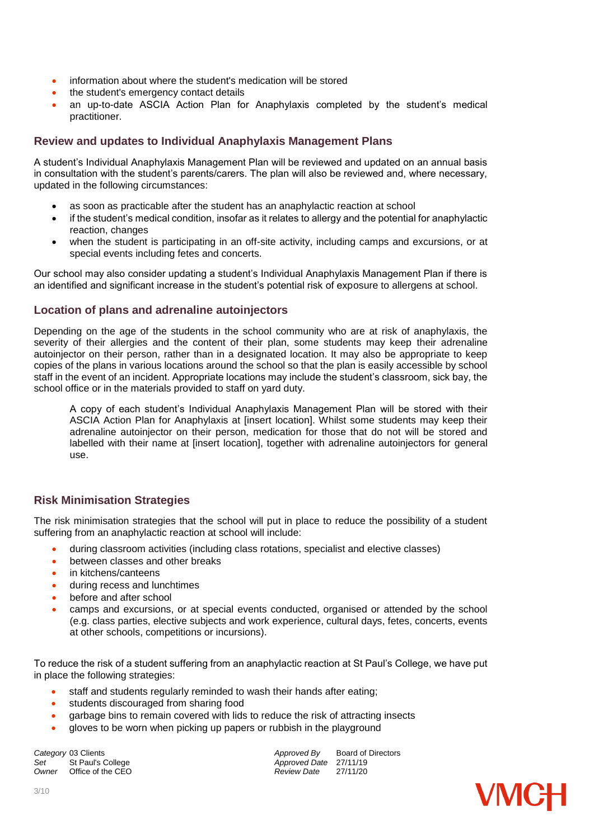- information about where the student's medication will be stored
- the student's emergency contact details
- an up-to-date ASCIA Action Plan for Anaphylaxis completed by the student's medical practitioner.

#### **Review and updates to Individual Anaphylaxis Management Plans**

A student's Individual Anaphylaxis Management Plan will be reviewed and updated on an annual basis in consultation with the student's parents/carers. The plan will also be reviewed and, where necessary, updated in the following circumstances:

- as soon as practicable after the student has an anaphylactic reaction at school
- $\bullet$  if the student's medical condition, insofar as it relates to allergy and the potential for anaphylactic reaction, changes
- when the student is participating in an off-site activity, including camps and excursions, or at special events including fetes and concerts.

Our school may also consider updating a student's Individual Anaphylaxis Management Plan if there is an identified and significant increase in the student's potential risk of exposure to allergens at school.

#### **Location of plans and adrenaline autoinjectors**

Depending on the age of the students in the school community who are at risk of anaphylaxis, the severity of their allergies and the content of their plan, some students may keep their adrenaline autoinjector on their person, rather than in a designated location. It may also be appropriate to keep copies of the plans in various locations around the school so that the plan is easily accessible by school staff in the event of an incident. Appropriate locations may include the student's classroom, sick bay, the school office or in the materials provided to staff on yard duty.

A copy of each student's Individual Anaphylaxis Management Plan will be stored with their ASCIA Action Plan for Anaphylaxis at [insert location]. Whilst some students may keep their adrenaline autoinjector on their person, medication for those that do not will be stored and labelled with their name at [insert location], together with adrenaline autoinjectors for general use.

#### **Risk Minimisation Strategies**

The risk minimisation strategies that the school will put in place to reduce the possibility of a student suffering from an anaphylactic reaction at school will include:

- during classroom activities (including class rotations, specialist and elective classes)
- between classes and other breaks
- in kitchens/canteens
- during recess and lunchtimes
- before and after school
- camps and excursions, or at special events conducted, organised or attended by the school (e.g. class parties, elective subjects and work experience, cultural days, fetes, concerts, events at other schools, competitions or incursions).

To reduce the risk of a student suffering from an anaphylactic reaction at St Paul's College, we have put in place the following strategies:

- staff and students regularly reminded to wash their hands after eating;
- **•** students discouraged from sharing food
- garbage bins to remain covered with lids to reduce the risk of attracting insects
- gloves to be worn when picking up papers or rubbish in the playground

**Category** 03 Clients *Category* 03 Clients *Approved By* Board of Directors *Approved By* Board of Directors Set St Paul's College *Set* St Paul's College **Approved Date** 27/11/19<br> *Approved Date* 27/11/20 *Office of the CEO* 

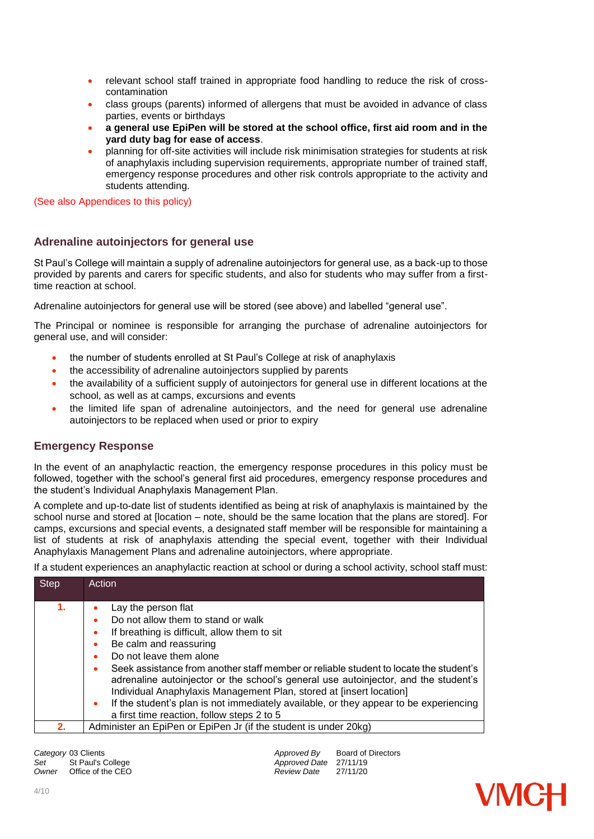- relevant school staff trained in appropriate food handling to reduce the risk of crosscontamination
- class groups (parents) informed of allergens that must be avoided in advance of class parties, events or birthdays
- **a general use EpiPen will be stored at the school office, first aid room and in the yard duty bag for ease of access**.
- planning for off-site activities will include risk minimisation strategies for students at risk of anaphylaxis including supervision requirements, appropriate number of trained staff, emergency response procedures and other risk controls appropriate to the activity and students attending.

(See also Appendices to this policy)

#### **Adrenaline autoinjectors for general use**

St Paul's College will maintain a supply of adrenaline autoinjectors for general use, as a back-up to those provided by parents and carers for specific students, and also for students who may suffer from a firsttime reaction at school.

Adrenaline autoinjectors for general use will be stored (see above) and labelled "general use".

The Principal or nominee is responsible for arranging the purchase of adrenaline autoinjectors for general use, and will consider:

- the number of students enrolled at St Paul's College at risk of anaphylaxis
- the accessibility of adrenaline autoinjectors supplied by parents
- the availability of a sufficient supply of autoinjectors for general use in different locations at the school, as well as at camps, excursions and events
- the limited life span of adrenaline autoinjectors, and the need for general use adrenaline autoinjectors to be replaced when used or prior to expiry

#### **Emergency Response**

In the event of an anaphylactic reaction, the emergency response procedures in this policy must be followed, together with the school's general first aid procedures, emergency response procedures and the student's Individual Anaphylaxis Management Plan.

A complete and up-to-date list of students identified as being at risk of anaphylaxis is maintained by the school nurse and stored at [location – note, should be the same location that the plans are stored]. For camps, excursions and special events, a designated staff member will be responsible for maintaining a list of students at risk of anaphylaxis attending the special event, together with their Individual Anaphylaxis Management Plans and adrenaline autoinjectors, where appropriate.

If a student experiences an anaphylactic reaction at school or during a school activity, school staff must:

| <b>Step</b> | <b>Action</b>                                                                                                                                                                                                                                                                                                                                                                                                                                                                                                                                                                              |
|-------------|--------------------------------------------------------------------------------------------------------------------------------------------------------------------------------------------------------------------------------------------------------------------------------------------------------------------------------------------------------------------------------------------------------------------------------------------------------------------------------------------------------------------------------------------------------------------------------------------|
| 1.          | Lay the person flat<br>Do not allow them to stand or walk<br>٠<br>If breathing is difficult, allow them to sit<br>۰<br>Be calm and reassuring<br>٠<br>Do not leave them alone<br>٠<br>Seek assistance from another staff member or reliable student to locate the student's<br>٠<br>adrenaline autoinjector or the school's general use autoinjector, and the student's<br>Individual Anaphylaxis Management Plan, stored at [insert location]<br>If the student's plan is not immediately available, or they appear to be experiencing<br>٠<br>a first time reaction, follow steps 2 to 5 |
| 2.          | Administer an EpiPen or EpiPen Jr (if the student is under 20kg)                                                                                                                                                                                                                                                                                                                                                                                                                                                                                                                           |

**Category** 03 Clients **Approved By** Board of Directors *Approved By* Board of Directors *Approved Bate* 27/11/19 Set St Paul's College *Set* Approved Date 27/11/19<br>
Owner Office of the CEO **Approved Date** 27/11/20 *Office of the CEO* 

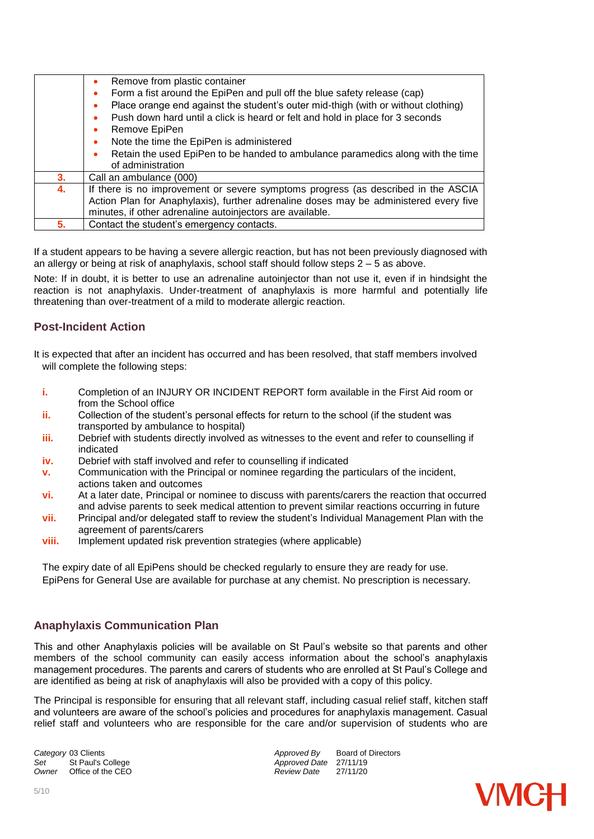|    | Remove from plastic container<br>٠                                                             |  |
|----|------------------------------------------------------------------------------------------------|--|
|    | Form a fist around the EpiPen and pull off the blue safety release (cap)<br>$\bullet$          |  |
|    | Place orange end against the student's outer mid-thigh (with or without clothing)<br>$\bullet$ |  |
|    | Push down hard until a click is heard or felt and hold in place for 3 seconds<br>۰             |  |
|    | Remove EpiPen<br>٠                                                                             |  |
|    | Note the time the EpiPen is administered<br>٠                                                  |  |
|    | Retain the used EpiPen to be handed to ambulance paramedics along with the time<br>$\bullet$   |  |
|    | of administration                                                                              |  |
| 3. | Call an ambulance (000)                                                                        |  |
| 4. | If there is no improvement or severe symptoms progress (as described in the ASCIA              |  |
|    | Action Plan for Anaphylaxis), further adrenaline doses may be administered every five          |  |
|    | minutes, if other adrenaline autoinjectors are available.                                      |  |
| 5. | Contact the student's emergency contacts.                                                      |  |

If a student appears to be having a severe allergic reaction, but has not been previously diagnosed with an allergy or being at risk of anaphylaxis, school staff should follow steps 2 – 5 as above.

Note: If in doubt, it is better to use an adrenaline autoinjector than not use it, even if in hindsight the reaction is not anaphylaxis. Under-treatment of anaphylaxis is more harmful and potentially life threatening than over-treatment of a mild to moderate allergic reaction.

#### **Post-Incident Action**

It is expected that after an incident has occurred and has been resolved, that staff members involved will complete the following steps:

- **i.** Completion of an INJURY OR INCIDENT REPORT form available in the First Aid room or from the School office
- **ii.** Collection of the student's personal effects for return to the school (if the student was transported by ambulance to hospital)
- **iii.** Debrief with students directly involved as witnesses to the event and refer to counselling if indicated
- **iv.** Debrief with staff involved and refer to counselling if indicated
- **v.** Communication with the Principal or nominee regarding the particulars of the incident, actions taken and outcomes
- **vi.** At a later date, Principal or nominee to discuss with parents/carers the reaction that occurred and advise parents to seek medical attention to prevent similar reactions occurring in future
- **vii.** Principal and/or delegated staff to review the student's Individual Management Plan with the agreement of parents/carers
- **viii.** Implement updated risk prevention strategies (where applicable)

The expiry date of all EpiPens should be checked regularly to ensure they are ready for use. EpiPens for General Use are available for purchase at any chemist. No prescription is necessary.

#### **Anaphylaxis Communication Plan**

This and other Anaphylaxis policies will be available on St Paul's website so that parents and other members of the school community can easily access information about the school's anaphylaxis management procedures. The parents and carers of students who are enrolled at St Paul's College and are identified as being at risk of anaphylaxis will also be provided with a copy of this policy.

The Principal is responsible for ensuring that all relevant staff, including casual relief staff, kitchen staff and volunteers are aware of the school's policies and procedures for anaphylaxis management. Casual relief staff and volunteers who are responsible for the care and/or supervision of students who are

Set St Paul's College *Set* St Paul's College **Approved Date** 27/11/19<br> *Approved Date* 27/11/20 *Office of the CEO* 

**Category** 03 Clients **Approved By** Board of Directors *Approved By* Board of Directors *Approved Date* 27/11/19

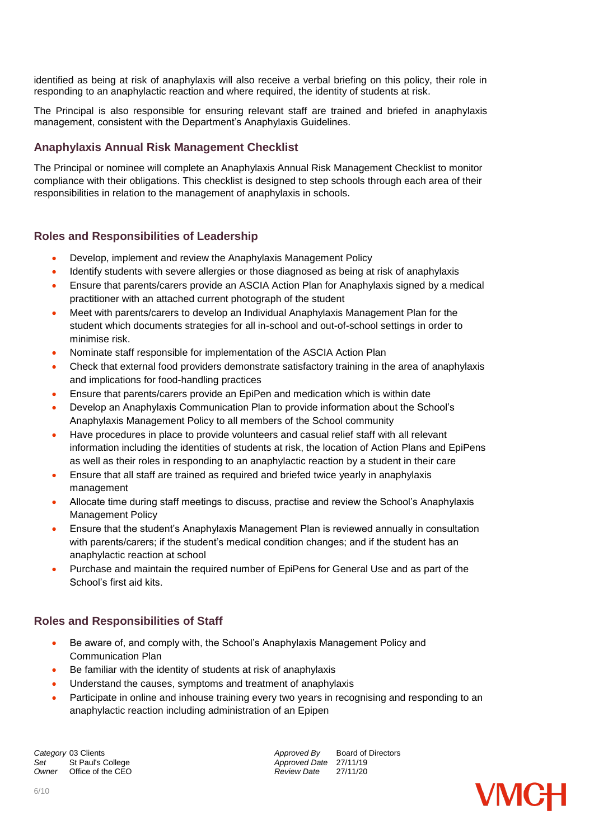identified as being at risk of anaphylaxis will also receive a verbal briefing on this policy, their role in responding to an anaphylactic reaction and where required, the identity of students at risk.

The Principal is also responsible for ensuring relevant staff are trained and briefed in anaphylaxis management, consistent with the Department's Anaphylaxis Guidelines.

#### **Anaphylaxis Annual Risk Management Checklist**

The Principal or nominee will complete an Anaphylaxis Annual Risk Management Checklist to monitor compliance with their obligations. This checklist is designed to step schools through each area of their responsibilities in relation to the management of anaphylaxis in schools.

#### **Roles and Responsibilities of Leadership**

- Develop, implement and review the Anaphylaxis Management Policy
- Identify students with severe allergies or those diagnosed as being at risk of anaphylaxis
- Ensure that parents/carers provide an ASCIA Action Plan for Anaphylaxis signed by a medical practitioner with an attached current photograph of the student
- Meet with parents/carers to develop an Individual Anaphylaxis Management Plan for the student which documents strategies for all in-school and out-of-school settings in order to minimise risk.
- Nominate staff responsible for implementation of the ASCIA Action Plan
- Check that external food providers demonstrate satisfactory training in the area of anaphylaxis and implications for food-handling practices
- Ensure that parents/carers provide an EpiPen and medication which is within date
- Develop an Anaphylaxis Communication Plan to provide information about the School's Anaphylaxis Management Policy to all members of the School community
- Have procedures in place to provide volunteers and casual relief staff with all relevant information including the identities of students at risk, the location of Action Plans and EpiPens as well as their roles in responding to an anaphylactic reaction by a student in their care
- Ensure that all staff are trained as required and briefed twice yearly in anaphylaxis management
- Allocate time during staff meetings to discuss, practise and review the School's Anaphylaxis Management Policy
- Ensure that the student's Anaphylaxis Management Plan is reviewed annually in consultation with parents/carers; if the student's medical condition changes; and if the student has an anaphylactic reaction at school
- Purchase and maintain the required number of EpiPens for General Use and as part of the School's first aid kits.

#### **Roles and Responsibilities of Staff**

- Be aware of, and comply with, the School's Anaphylaxis Management Policy and Communication Plan
- Be familiar with the identity of students at risk of anaphylaxis
- Understand the causes, symptoms and treatment of anaphylaxis
- Participate in online and inhouse training every two years in recognising and responding to an anaphylactic reaction including administration of an Epipen

**Category** 03 Clients *Category* 03 Clients *Approved By* Board of Directors *Approved By* Board of Directors Set St Paul's College *Set* St Paul's College *Approved Date* 27/11/19<br> *Owner* Office of the CEO *Approved Date* 27/11/20 *Owner* Office of the CEO

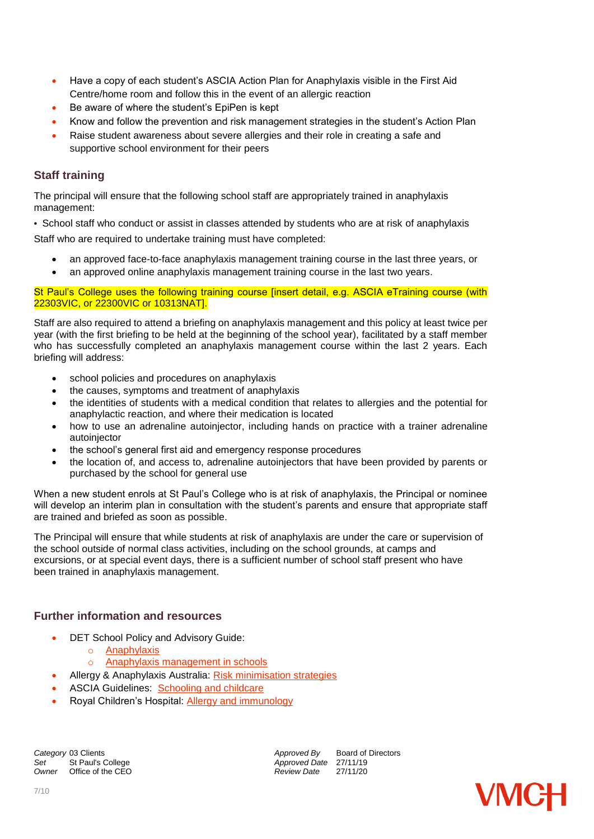- Have a copy of each student's ASCIA Action Plan for Anaphylaxis visible in the First Aid Centre/home room and follow this in the event of an allergic reaction
- Be aware of where the student's EpiPen is kept
- Know and follow the prevention and risk management strategies in the student's Action Plan
- Raise student awareness about severe allergies and their role in creating a safe and supportive school environment for their peers

#### **Staff training**

The principal will ensure that the following school staff are appropriately trained in anaphylaxis management:

 School staff who conduct or assist in classes attended by students who are at risk of anaphylaxis Staff who are required to undertake training must have completed:

- an approved face-to-face anaphylaxis management training course in the last three years, or
- an approved online anaphylaxis management training course in the last two years.

#### St Paul's College uses the following training course [insert detail, e.g. ASCIA eTraining course (with 22303VIC, or 22300VIC or 10313NAT].

Staff are also required to attend a briefing on anaphylaxis management and this policy at least twice per year (with the first briefing to be held at the beginning of the school year), facilitated by a staff member who has successfully completed an anaphylaxis management course within the last 2 years. Each briefing will address:

- school policies and procedures on anaphylaxis
- the causes, symptoms and treatment of anaphylaxis
- the identities of students with a medical condition that relates to allergies and the potential for anaphylactic reaction, and where their medication is located
- how to use an adrenaline autoinjector, including hands on practice with a trainer adrenaline autoinjector
- the school's general first aid and emergency response procedures
- the location of, and access to, adrenaline autoinjectors that have been provided by parents or purchased by the school for general use

When a new student enrols at St Paul's College who is at risk of anaphylaxis, the Principal or nominee will develop an interim plan in consultation with the student's parents and ensure that appropriate staff are trained and briefed as soon as possible.

The Principal will ensure that while students at risk of anaphylaxis are under the care or supervision of the school outside of normal class activities, including on the school grounds, at camps and excursions, or at special event days, there is a sufficient number of school staff present who have been trained in anaphylaxis management.

#### **Further information and resources**

- DET School Policy and Advisory Guide:
	- o [Anaphylaxis](http://www.education.vic.gov.au/school/principals/spag/health/Pages/anaphylaxis.aspx)
	- o [Anaphylaxis management in schools](http://www.education.vic.gov.au/school/teachers/health/pages/anaphylaxisschl.aspx)
- Allergy & Anaphylaxis Australia: [Risk minimisation strategies](https://edugate.eduweb.vic.gov.au/edulibrary/Schools/teachers/health/riskminimisation.pdf)
- ASCIA Guidelines: [Schooling and childcare](https://allergyfacts.org.au/allergy-management/schooling-childcare)
- Royal Children's Hospital: [Allergy and immunology](https://www.rch.org.au/allergy/about_us/Allergy_and_Immunology/)

**Category** 03 Clients *Category* 03 Clients *Approved By* Board of Directors *Approved By* Board of Directors Set St Paul's College *Set* St Paul's College **Approved Date** 27/11/19<br> *Approved Date* 27/11/20 *Office of the CEO* 

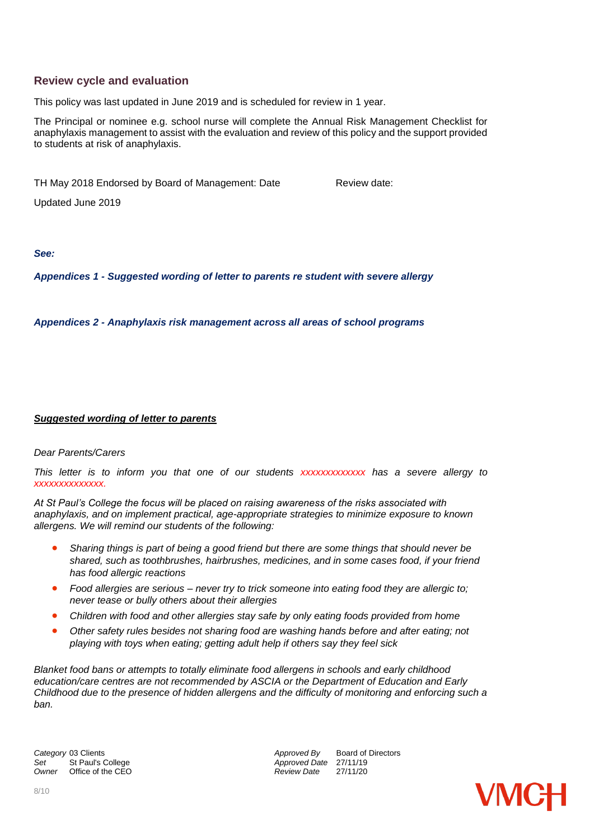#### **Review cycle and evaluation**

This policy was last updated in June 2019 and is scheduled for review in 1 year.

The Principal or nominee e.g. school nurse will complete the Annual Risk Management Checklist for anaphylaxis management to assist with the evaluation and review of this policy and the support provided to students at risk of anaphylaxis.

TH May 2018 Endorsed by Board of Management: Date Review date:

Updated June 2019

*See:*

*Appendices 1 - Suggested wording of letter to parents re student with severe allergy*

*Appendices 2 - Anaphylaxis risk management across all areas of school programs*

#### *Suggested wording of letter to parents*

#### *Dear Parents/Carers*

*This letter is to inform you that one of our students xxxxxxxxxxxxx has a severe allergy to xxxxxxxxxxxxxx.*

*At St Paul's College the focus will be placed on raising awareness of the risks associated with anaphylaxis, and on implement practical, age-appropriate strategies to minimize exposure to known allergens. We will remind our students of the following:* 

- *Sharing things is part of being a good friend but there are some things that should never be shared, such as toothbrushes, hairbrushes, medicines, and in some cases food, if your friend has food allergic reactions*
- *Food allergies are serious – never try to trick someone into eating food they are allergic to; never tease or bully others about their allergies*
- *Children with food and other allergies stay safe by only eating foods provided from home*
- *Other safety rules besides not sharing food are washing hands before and after eating; not playing with toys when eating; getting adult help if others say they feel sick*

*Blanket food bans or attempts to totally eliminate food allergens in schools and early childhood education/care centres are not recommended by ASCIA or the Department of Education and Early Childhood due to the presence of hidden allergens and the difficulty of monitoring and enforcing such a ban.*

**Category** 03 Clients *Category* 03 Clients *Approved By* Board of Directors *Approved By* Board of Directors Set St Paul's College *Set* St Paul's College **Approved Date** 27/11/19<br> *Approved Date* 27/11/20 *Office of the CEO* 

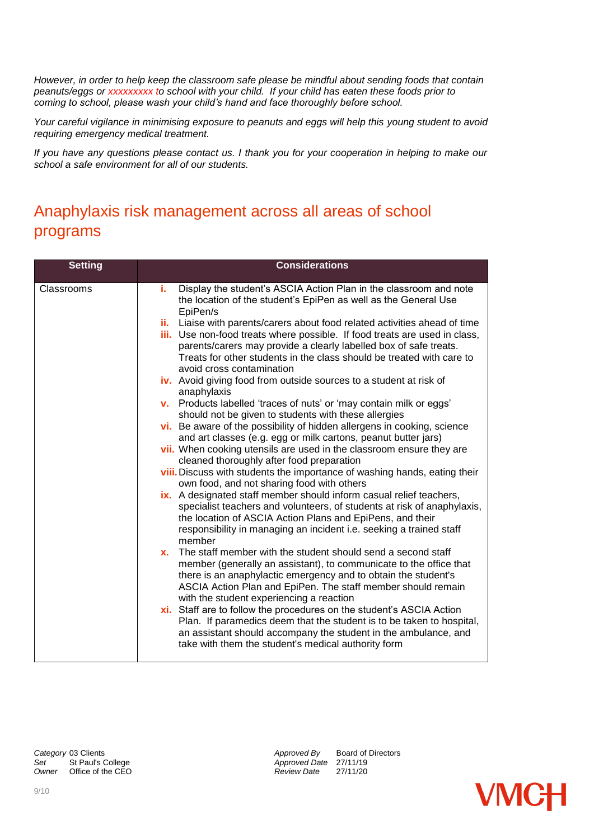*However, in order to help keep the classroom safe please be mindful about sending foods that contain peanuts/eggs or xxxxxxxxx to school with your child. If your child has eaten these foods prior to coming to school, please wash your child's hand and face thoroughly before school.*

*Your careful vigilance in minimising exposure to peanuts and eggs will help this young student to avoid requiring emergency medical treatment.*

*If you have any questions please contact us. I thank you for your cooperation in helping to make our school a safe environment for all of our students.* 

# Anaphylaxis risk management across all areas of school programs

| <b>Setting</b> | <b>Considerations</b>                                                                                                                                                                                                                                                                                                                                                                                                                                                                                                                                                                                                                                                                                                                                                                                                                                                                                                                                                                                                                                                     |
|----------------|---------------------------------------------------------------------------------------------------------------------------------------------------------------------------------------------------------------------------------------------------------------------------------------------------------------------------------------------------------------------------------------------------------------------------------------------------------------------------------------------------------------------------------------------------------------------------------------------------------------------------------------------------------------------------------------------------------------------------------------------------------------------------------------------------------------------------------------------------------------------------------------------------------------------------------------------------------------------------------------------------------------------------------------------------------------------------|
| Classrooms     | Display the student's ASCIA Action Plan in the classroom and note<br>i.<br>the location of the student's EpiPen as well as the General Use<br>EpiPen/s<br>ii. Liaise with parents/carers about food related activities ahead of time<br><b>iii.</b> Use non-food treats where possible. If food treats are used in class,<br>parents/carers may provide a clearly labelled box of safe treats.<br>Treats for other students in the class should be treated with care to<br>avoid cross contamination<br>iv. Avoid giving food from outside sources to a student at risk of<br>anaphylaxis<br>v. Products labelled 'traces of nuts' or 'may contain milk or eggs'<br>should not be given to students with these allergies<br>vi. Be aware of the possibility of hidden allergens in cooking, science<br>and art classes (e.g. egg or milk cartons, peanut butter jars)<br>vii. When cooking utensils are used in the classroom ensure they are                                                                                                                             |
|                | cleaned thoroughly after food preparation<br>viii. Discuss with students the importance of washing hands, eating their<br>own food, and not sharing food with others<br>ix. A designated staff member should inform casual relief teachers,<br>specialist teachers and volunteers, of students at risk of anaphylaxis,<br>the location of ASCIA Action Plans and EpiPens, and their<br>responsibility in managing an incident i.e. seeking a trained staff<br>member<br>The staff member with the student should send a second staff<br>X.<br>member (generally an assistant), to communicate to the office that<br>there is an anaphylactic emergency and to obtain the student's<br>ASCIA Action Plan and EpiPen. The staff member should remain<br>with the student experiencing a reaction<br>xi. Staff are to follow the procedures on the student's ASCIA Action<br>Plan. If paramedics deem that the student is to be taken to hospital,<br>an assistant should accompany the student in the ambulance, and<br>take with them the student's medical authority form |

*Category* 03 Clients *Approved By* Board of Directors **Set St Paul's College** *Approved Date* 27/11/19 *Owner* Office of the CEO *Review Date* 27/11/20

**VMCH**